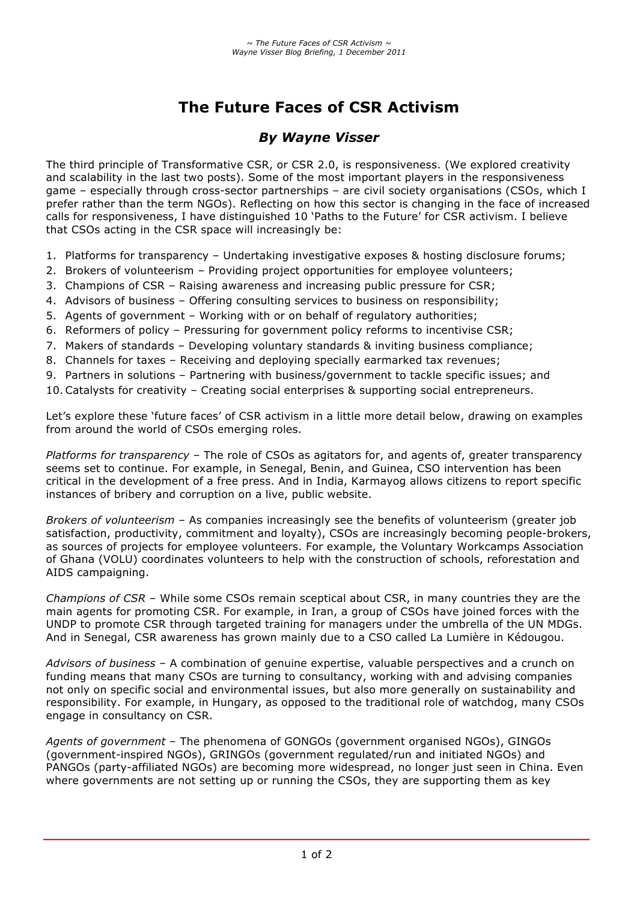# **The Future Faces of CSR Activism**

## *By Wayne Visser*

The third principle of Transformative CSR, or CSR 2.0, is responsiveness. (We explored creativity and scalability in the last two posts). Some of the most important players in the responsiveness game – especially through cross-sector partnerships – are civil society organisations (CSOs, which I prefer rather than the term NGOs). Reflecting on how this sector is changing in the face of increased calls for responsiveness, I have distinguished 10 'Paths to the Future' for CSR activism. I believe that CSOs acting in the CSR space will increasingly be:

- 1. Platforms for transparency Undertaking investigative exposes & hosting disclosure forums;
- 2. Brokers of volunteerism Providing project opportunities for employee volunteers;
- 3. Champions of CSR Raising awareness and increasing public pressure for CSR;
- 4. Advisors of business Offering consulting services to business on responsibility;
- 5. Agents of government Working with or on behalf of regulatory authorities;
- 6. Reformers of policy Pressuring for government policy reforms to incentivise CSR;
- 7. Makers of standards Developing voluntary standards & inviting business compliance;
- 8. Channels for taxes Receiving and deploying specially earmarked tax revenues;
- 9. Partners in solutions Partnering with business/government to tackle specific issues; and
- 10.Catalysts for creativity Creating social enterprises & supporting social entrepreneurs.

Let's explore these 'future faces' of CSR activism in a little more detail below, drawing on examples from around the world of CSOs emerging roles.

*Platforms for transparency* – The role of CSOs as agitators for, and agents of, greater transparency seems set to continue. For example, in Senegal, Benin, and Guinea, CSO intervention has been critical in the development of a free press. And in India, Karmayog allows citizens to report specific instances of bribery and corruption on a live, public website.

*Brokers of volunteerism* – As companies increasingly see the benefits of volunteerism (greater job satisfaction, productivity, commitment and loyalty), CSOs are increasingly becoming people-brokers, as sources of projects for employee volunteers. For example, the Voluntary Workcamps Association of Ghana (VOLU) coordinates volunteers to help with the construction of schools, reforestation and AIDS campaigning.

*Champions of CSR* – While some CSOs remain sceptical about CSR, in many countries they are the main agents for promoting CSR. For example, in Iran, a group of CSOs have joined forces with the UNDP to promote CSR through targeted training for managers under the umbrella of the UN MDGs. And in Senegal, CSR awareness has grown mainly due to a CSO called La Lumière in Kédougou.

*Advisors of business* – A combination of genuine expertise, valuable perspectives and a crunch on funding means that many CSOs are turning to consultancy, working with and advising companies not only on specific social and environmental issues, but also more generally on sustainability and responsibility. For example, in Hungary, as opposed to the traditional role of watchdog, many CSOs engage in consultancy on CSR.

*Agents of government* – The phenomena of GONGOs (government organised NGOs), GINGOs (government-inspired NGOs), GRINGOs (government regulated/run and initiated NGOs) and PANGOs (party-affiliated NGOs) are becoming more widespread, no longer just seen in China. Even where governments are not setting up or running the CSOs, they are supporting them as key